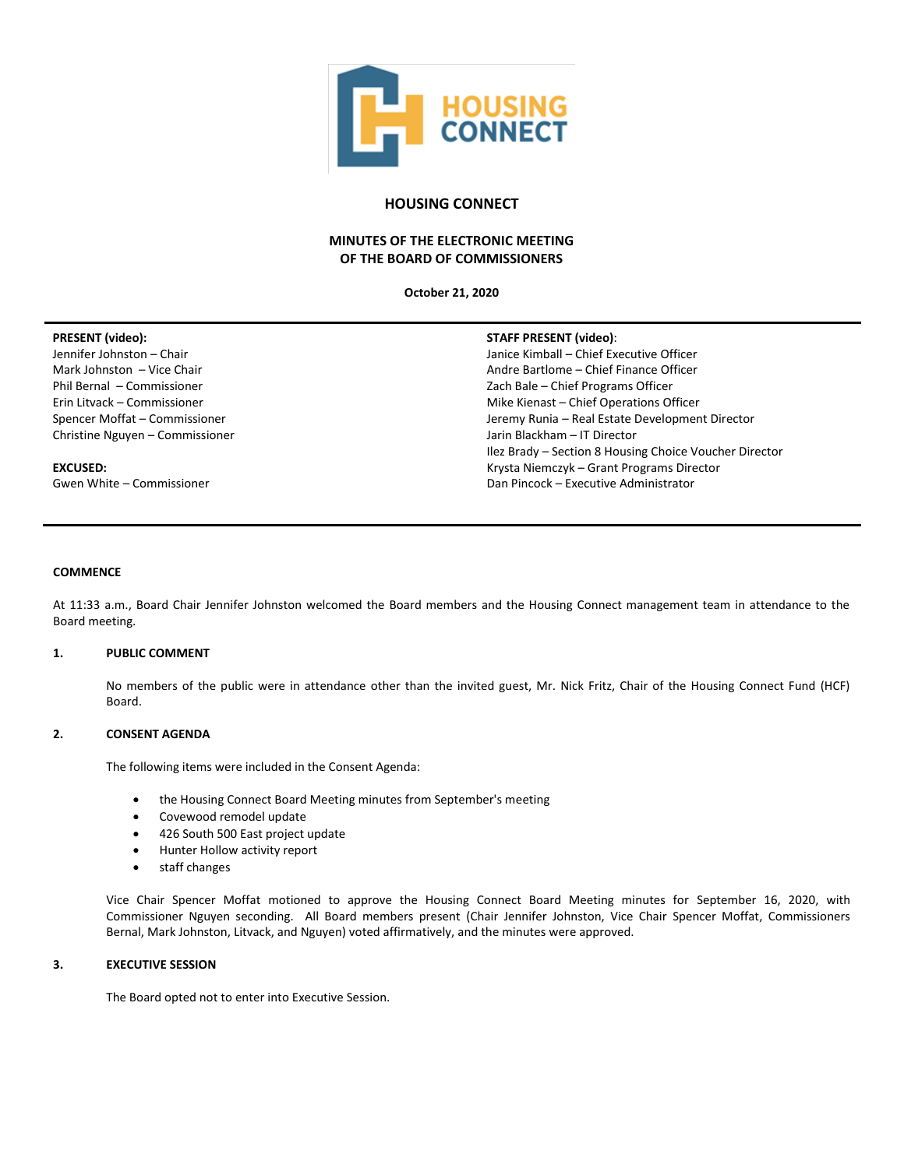

## **HOUSING CONNECT**

# **MINUTES OF THE ELECTRONIC MEETING OF THE BOARD OF COMMISSIONERS**

**October 21, 2020**

# **PRESENT (video):**

Jennifer Johnston – Chair Mark Johnston – Vice Chair Phil Bernal – Commissioner Erin Litvack – Commissioner Spencer Moffat – Commissioner Christine Nguyen – Commissioner

#### **EXCUSED:**

Gwen White – Commissioner

#### **STAFF PRESENT (video)**:

Janice Kimball – Chief Executive Officer Andre Bartlome – Chief Finance Officer Zach Bale – Chief Programs Officer Mike Kienast – Chief Operations Officer Jeremy Runia – Real Estate Development Director Jarin Blackham – IT Director Ilez Brady – Section 8 Housing Choice Voucher Director Krysta Niemczyk – Grant Programs Director Dan Pincock – Executive Administrator

#### **COMMENCE**

At 11:33 a.m., Board Chair Jennifer Johnston welcomed the Board members and the Housing Connect management team in attendance to the Board meeting.

#### **1. PUBLIC COMMENT**

No members of the public were in attendance other than the invited guest, Mr. Nick Fritz, Chair of the Housing Connect Fund (HCF) Board.

### **2. CONSENT AGENDA**

The following items were included in the Consent Agenda:

- the Housing Connect Board Meeting minutes from September's meeting
- Covewood remodel update
- 426 South 500 East project update
- Hunter Hollow activity report
- staff changes

Vice Chair Spencer Moffat motioned to approve the Housing Connect Board Meeting minutes for September 16, 2020, with Commissioner Nguyen seconding. All Board members present (Chair Jennifer Johnston, Vice Chair Spencer Moffat, Commissioners Bernal, Mark Johnston, Litvack, and Nguyen) voted affirmatively, and the minutes were approved.

#### **3. EXECUTIVE SESSION**

The Board opted not to enter into Executive Session.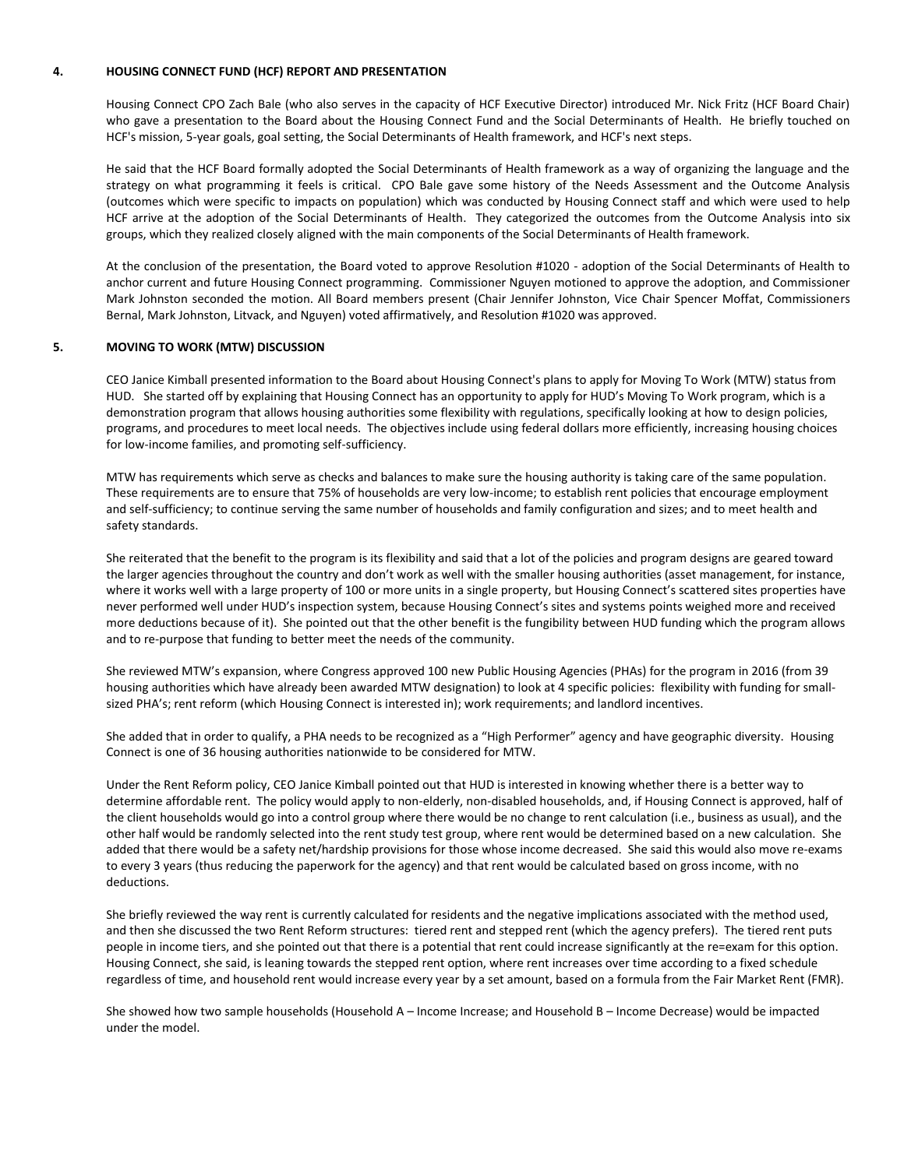#### **4. HOUSING CONNECT FUND (HCF) REPORT AND PRESENTATION**

Housing Connect CPO Zach Bale (who also serves in the capacity of HCF Executive Director) introduced Mr. Nick Fritz (HCF Board Chair) who gave a presentation to the Board about the Housing Connect Fund and the Social Determinants of Health. He briefly touched on HCF's mission, 5-year goals, goal setting, the Social Determinants of Health framework, and HCF's next steps.

He said that the HCF Board formally adopted the Social Determinants of Health framework as a way of organizing the language and the strategy on what programming it feels is critical. CPO Bale gave some history of the Needs Assessment and the Outcome Analysis (outcomes which were specific to impacts on population) which was conducted by Housing Connect staff and which were used to help HCF arrive at the adoption of the Social Determinants of Health. They categorized the outcomes from the Outcome Analysis into six groups, which they realized closely aligned with the main components of the Social Determinants of Health framework.

At the conclusion of the presentation, the Board voted to approve Resolution #1020 - adoption of the Social Determinants of Health to anchor current and future Housing Connect programming. Commissioner Nguyen motioned to approve the adoption, and Commissioner Mark Johnston seconded the motion. All Board members present (Chair Jennifer Johnston, Vice Chair Spencer Moffat, Commissioners Bernal, Mark Johnston, Litvack, and Nguyen) voted affirmatively, and Resolution #1020 was approved.

#### **5. MOVING TO WORK (MTW) DISCUSSION**

CEO Janice Kimball presented information to the Board about Housing Connect's plans to apply for Moving To Work (MTW) status from HUD. She started off by explaining that Housing Connect has an opportunity to apply for HUD's Moving To Work program, which is a demonstration program that allows housing authorities some flexibility with regulations, specifically looking at how to design policies, programs, and procedures to meet local needs. The objectives include using federal dollars more efficiently, increasing housing choices for low-income families, and promoting self-sufficiency.

MTW has requirements which serve as checks and balances to make sure the housing authority is taking care of the same population. These requirements are to ensure that 75% of households are very low-income; to establish rent policies that encourage employment and self-sufficiency; to continue serving the same number of households and family configuration and sizes; and to meet health and safety standards.

She reiterated that the benefit to the program is its flexibility and said that a lot of the policies and program designs are geared toward the larger agencies throughout the country and don't work as well with the smaller housing authorities (asset management, for instance, where it works well with a large property of 100 or more units in a single property, but Housing Connect's scattered sites properties have never performed well under HUD's inspection system, because Housing Connect's sites and systems points weighed more and received more deductions because of it). She pointed out that the other benefit is the fungibility between HUD funding which the program allows and to re-purpose that funding to better meet the needs of the community.

She reviewed MTW's expansion, where Congress approved 100 new Public Housing Agencies (PHAs) for the program in 2016 (from 39 housing authorities which have already been awarded MTW designation) to look at 4 specific policies: flexibility with funding for smallsized PHA's; rent reform (which Housing Connect is interested in); work requirements; and landlord incentives.

She added that in order to qualify, a PHA needs to be recognized as a "High Performer" agency and have geographic diversity. Housing Connect is one of 36 housing authorities nationwide to be considered for MTW.

Under the Rent Reform policy, CEO Janice Kimball pointed out that HUD is interested in knowing whether there is a better way to determine affordable rent. The policy would apply to non-elderly, non-disabled households, and, if Housing Connect is approved, half of the client households would go into a control group where there would be no change to rent calculation (i.e., business as usual), and the other half would be randomly selected into the rent study test group, where rent would be determined based on a new calculation. She added that there would be a safety net/hardship provisions for those whose income decreased. She said this would also move re-exams to every 3 years (thus reducing the paperwork for the agency) and that rent would be calculated based on gross income, with no deductions.

She briefly reviewed the way rent is currently calculated for residents and the negative implications associated with the method used, and then she discussed the two Rent Reform structures: tiered rent and stepped rent (which the agency prefers). The tiered rent puts people in income tiers, and she pointed out that there is a potential that rent could increase significantly at the re=exam for this option. Housing Connect, she said, is leaning towards the stepped rent option, where rent increases over time according to a fixed schedule regardless of time, and household rent would increase every year by a set amount, based on a formula from the Fair Market Rent (FMR).

She showed how two sample households (Household A – Income Increase; and Household B – Income Decrease) would be impacted under the model.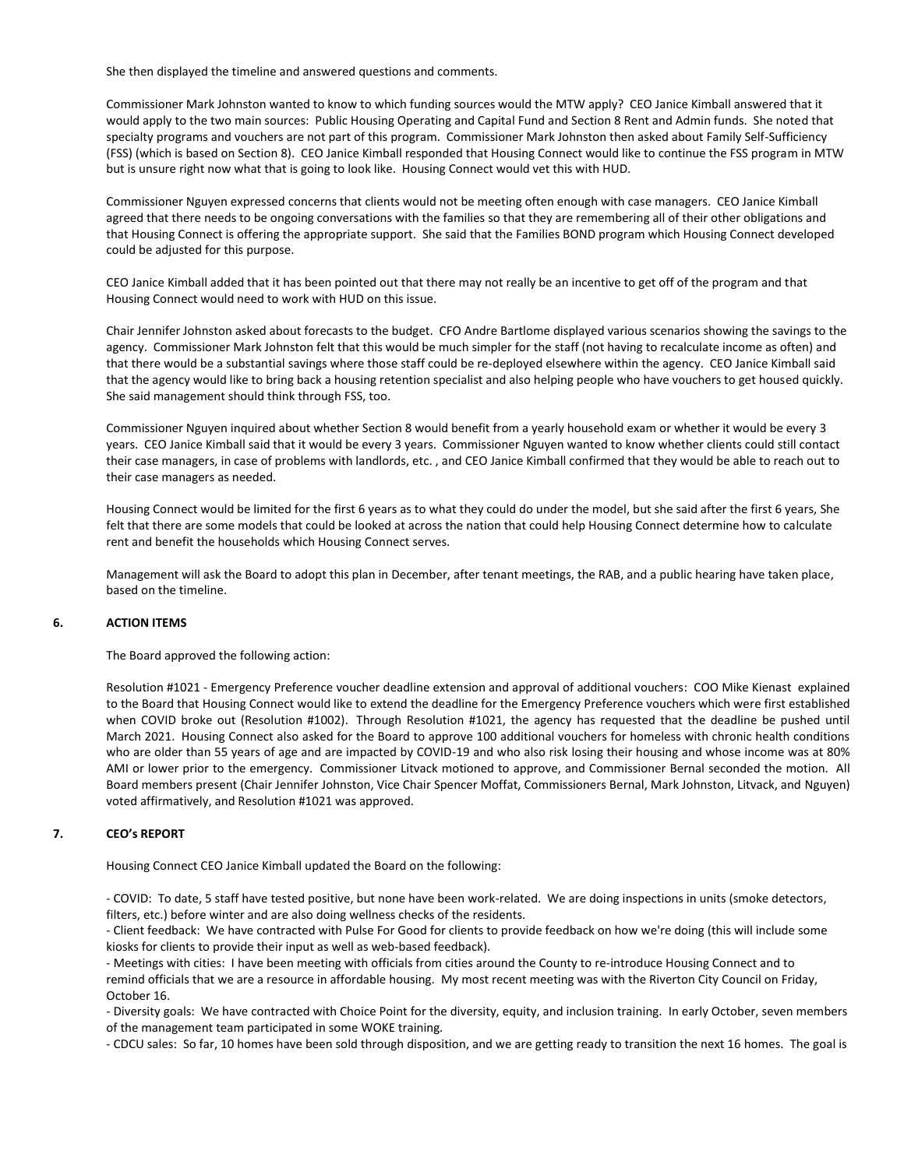She then displayed the timeline and answered questions and comments.

Commissioner Mark Johnston wanted to know to which funding sources would the MTW apply? CEO Janice Kimball answered that it would apply to the two main sources: Public Housing Operating and Capital Fund and Section 8 Rent and Admin funds. She noted that specialty programs and vouchers are not part of this program. Commissioner Mark Johnston then asked about Family Self-Sufficiency (FSS) (which is based on Section 8). CEO Janice Kimball responded that Housing Connect would like to continue the FSS program in MTW but is unsure right now what that is going to look like. Housing Connect would vet this with HUD.

Commissioner Nguyen expressed concerns that clients would not be meeting often enough with case managers. CEO Janice Kimball agreed that there needs to be ongoing conversations with the families so that they are remembering all of their other obligations and that Housing Connect is offering the appropriate support. She said that the Families BOND program which Housing Connect developed could be adjusted for this purpose.

CEO Janice Kimball added that it has been pointed out that there may not really be an incentive to get off of the program and that Housing Connect would need to work with HUD on this issue.

Chair Jennifer Johnston asked about forecasts to the budget. CFO Andre Bartlome displayed various scenarios showing the savings to the agency. Commissioner Mark Johnston felt that this would be much simpler for the staff (not having to recalculate income as often) and that there would be a substantial savings where those staff could be re-deployed elsewhere within the agency. CEO Janice Kimball said that the agency would like to bring back a housing retention specialist and also helping people who have vouchers to get housed quickly. She said management should think through FSS, too.

Commissioner Nguyen inquired about whether Section 8 would benefit from a yearly household exam or whether it would be every 3 years. CEO Janice Kimball said that it would be every 3 years. Commissioner Nguyen wanted to know whether clients could still contact their case managers, in case of problems with landlords, etc. , and CEO Janice Kimball confirmed that they would be able to reach out to their case managers as needed.

Housing Connect would be limited for the first 6 years as to what they could do under the model, but she said after the first 6 years, She felt that there are some models that could be looked at across the nation that could help Housing Connect determine how to calculate rent and benefit the households which Housing Connect serves.

Management will ask the Board to adopt this plan in December, after tenant meetings, the RAB, and a public hearing have taken place, based on the timeline.

#### **6. ACTION ITEMS**

The Board approved the following action:

Resolution #1021 - Emergency Preference voucher deadline extension and approval of additional vouchers: COO Mike Kienast explained to the Board that Housing Connect would like to extend the deadline for the Emergency Preference vouchers which were first established when COVID broke out (Resolution #1002). Through Resolution #1021, the agency has requested that the deadline be pushed until March 2021. Housing Connect also asked for the Board to approve 100 additional vouchers for homeless with chronic health conditions who are older than 55 years of age and are impacted by COVID-19 and who also risk losing their housing and whose income was at 80% AMI or lower prior to the emergency. Commissioner Litvack motioned to approve, and Commissioner Bernal seconded the motion. All Board members present (Chair Jennifer Johnston, Vice Chair Spencer Moffat, Commissioners Bernal, Mark Johnston, Litvack, and Nguyen) voted affirmatively, and Resolution #1021 was approved.

#### **7. CEO's REPORT**

Housing Connect CEO Janice Kimball updated the Board on the following:

- COVID: To date, 5 staff have tested positive, but none have been work-related. We are doing inspections in units (smoke detectors, filters, etc.) before winter and are also doing wellness checks of the residents.

- Client feedback: We have contracted with Pulse For Good for clients to provide feedback on how we're doing (this will include some kiosks for clients to provide their input as well as web-based feedback).

- Meetings with cities: I have been meeting with officials from cities around the County to re-introduce Housing Connect and to remind officials that we are a resource in affordable housing. My most recent meeting was with the Riverton City Council on Friday, October 16.

- Diversity goals: We have contracted with Choice Point for the diversity, equity, and inclusion training. In early October, seven members of the management team participated in some WOKE training.

- CDCU sales: So far, 10 homes have been sold through disposition, and we are getting ready to transition the next 16 homes. The goal is